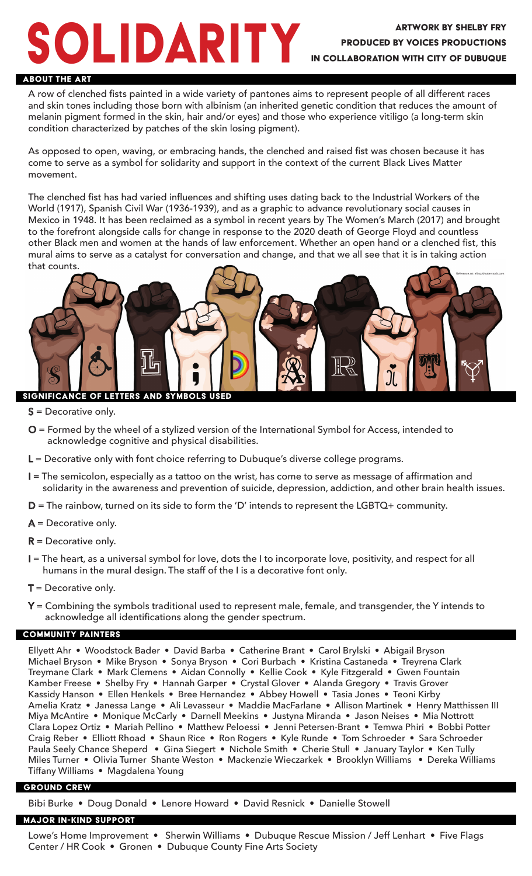# ARITY ARTWORK BY SHELBY FRY

## Produced by Voices Productions In collaboration with City of Dubuque

#### About the Art

A row of clenched fists painted in a wide variety of pantones aims to represent people of all different races and skin tones including those born with albinism (an inherited genetic condition that reduces the amount of melanin pigment formed in the skin, hair and/or eyes) and those who experience vitiligo (a long-term skin condition characterized by patches of the skin losing pigment).

As opposed to open, waving, or embracing hands, the clenched and raised fist was chosen because it has come to serve as a symbol for solidarity and support in the context of the current Black Lives Matter movement.

The clenched fist has had varied influences and shifting uses dating back to the Industrial Workers of the World (1917), Spanish Civil War (1936-1939), and as a graphic to advance revolutionary social causes in Mexico in 1948. It has been reclaimed as a symbol in recent years by The Women's March (2017) and brought to the forefront alongside calls for change in response to the 2020 death of George Floyd and countless other Black men and women at the hands of law enforcement. Whether an open hand or a clenched fist, this mural aims to serve as a catalyst for conversation and change, and that we all see that it is in taking action that counts.



- $S =$  Decorative only.
- O = Formed by the wheel of a stylized version of the International Symbol for Access, intended to acknowledge cognitive and physical disabilities.
- L = Decorative only with font choice referring to Dubuque's diverse college programs.
- I = The semicolon, especially as a tattoo on the wrist, has come to serve as message of affirmation and solidarity in the awareness and prevention of suicide, depression, addiction, and other brain health issues.
- D = The rainbow, turned on its side to form the 'D' intends to represent the LGBTQ+ community.
- $A =$  Decorative only.
- $R$  = Decorative only.
- I = The heart, as a universal symbol for love, dots the I to incorporate love, positivity, and respect for all humans in the mural design. The staff of the I is a decorative font only.
- $T =$  Decorative only.
- Y = Combining the symbols traditional used to represent male, female, and transgender, the Y intends to acknowledge all identifications along the gender spectrum.

### COMMUNITY PAINTERS

Ellyett Ahr • Woodstock Bader • David Barba • Catherine Brant • Carol Brylski • Abigail Bryson Michael Bryson • Mike Bryson • Sonya Bryson • Cori Burbach • Kristina Castaneda • Treyrena Clark Treymane Clark • Mark Clemens • Aidan Connolly • Kellie Cook • Kyle Fitzgerald • Gwen Fountain Kamber Freese • Shelby Fry • Hannah Garper • Crystal Glover • Alanda Gregory • Travis Grover Kassidy Hanson • Ellen Henkels • Bree Hernandez • Abbey Howell • Tasia Jones • Teoni Kirby Amelia Kratz • Janessa Lange • Ali Levasseur • Maddie MacFarlane • Allison Martinek • Henry Matthissen III Miya McAntire • Monique McCarly • Darnell Meekins • Justyna Miranda • Jason Neises • Mia Nottrott Clara Lopez Ortiz • Mariah Pellino • Matthew Peloessi • Jenni Petersen-Brant • Temwa Phiri • Bobbi Potter Craig Reber • Elliott Rhoad • Shaun Rice • Ron Rogers • Kyle Runde • Tom Schroeder • Sara Schroeder Paula Seely Chance Sheperd • Gina Siegert • Nichole Smith • Cherie Stull • January Taylor • Ken Tully Miles Turner • Olivia Turner Shante Weston • Mackenzie Wieczarkek • Brooklyn Williams • Dereka Williams Tiffany Williams • Magdalena Young

#### GROUND CREW

Bibi Burke • Doug Donald • Lenore Howard • David Resnick • Danielle Stowell

#### Major IN-KIND SUpport

Lowe's Home Improvement • Sherwin Williams • Dubuque Rescue Mission / Jeff Lenhart • Five Flags Center / HR Cook • Gronen • Dubuque County Fine Arts Society